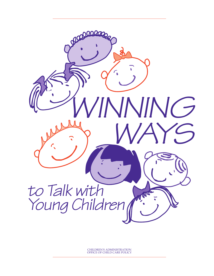

CHILDREN'S ADMINISTRATION OFFICE OF CHILD CARE POLICY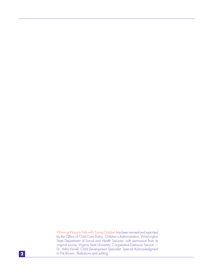Winning Ways to Talk with Young Children has been revised and reprinted by the Office of Child Care Policy, Children's Administration, Washington State Department of Social and Health Services, with permission from its original source, Virginia State University, Cooperative Extension Service — Dr. Valia Vincell, Child Development Specialist. Special Acknowledgment to Pat Brown, illustrations and editing.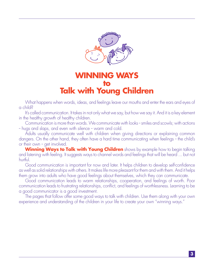

### **WINNING WAYS to Talk with Young Children**

What happens when words, ideas, and feelings leave our mouths and enter the ears and eyes of a child?

It's called communication. It takes in not only what we say, but how we say it. And it is a key element in the healthy growth of healthy children.

Communication is more than words. We communicate with looks - smiles and scowls; with actions - hugs and slaps, and even with silence - warm and cold.

Adults usually communicate well with children when giving directions or explaining common dangers. On the other hand, they often have a hard time communicating when feelings - the child's or their own - get involved.

**Winning Ways to Talk with Young Children** shows by example how to begin talking and listening with feeling. It suggests ways to channel words and feelings that will be heard ... but not hurtful.

Good communication is important for now and later. It helps children to develop self-confidence as well as solid relationships with others. It makes life more pleasant for them and with them. And it helps them grow into adults who have good feelings about themselves, which they can communicate.

Good communication leads to warm relationships, cooperation, and feelings of worth. Poor communication leads to frustrating relationships, conflict, and feelings of worthlessness. Learning to be a good communicator is a good investment.

The pages that follow offer some good ways to talk with children. Use them along with your own experience and understanding of the children in your life to create your own "winning ways."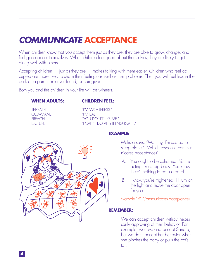# **COMMUNICATE ACCEPTANCE**

When children know that you accept them just as they are, they are able to grow, change, and feel good about themselves. When children feel good about themselves, they are likely to get along well with others.

Accepting children — just as they are — makes talking with them easier. Children who feel accepted are more likely to share their feelings as well as their problems. Then you will feel less in the dark as a parent, relative, friend, or caregiver.

Both you and the children in your life will be winners.

#### **WHEN ADULTS: CHILDREN FEEL:**

COMMAND "I'M BAD."

THREATEN "I'M WORTHLESS." PREACH "YOU DON'T LIKE ME." LECTURE "I CAN'T DO ANYTHING RIGHT."



**EXAMPLE:**

Melissa says, "Mommy, I'm scared to sleep alone." Which response communicates acceptance?

- A: You ought to be ashamed! You're acting like a big baby! You know there's nothing to be scared of!
- B: I know you're frightened. I'll turn on the light and leave the door open for you.

(Example "B" Communicates acceptance)

#### **REMEMBER:**

We can accept children without necessarily approving of their behavior. For example, we love and accept Sandra, but we don't accept her behavior when she pinches the baby or pulls the cat's tail.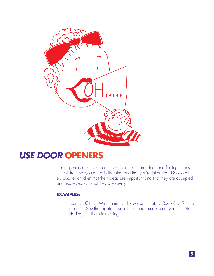

### **USE DOOR OPENERS**

Door openers are invitations to say more, to share ideas and feelings. They tell children that you're really listening and that you're interested. Door openers also tell children that their ideas are important and that they are accepted and respected for what they are saying.

#### **EXAMPLES:**

I see. ... Oh. ... Mm hmmm. ... How about that. ... Really? ... Tell me more. ... Say that again. I want to be sure I understand you. .... No kidding. ... That's interesting.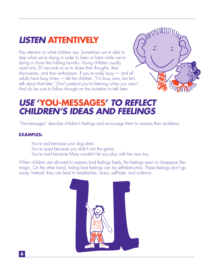# **LISTEN ATTENTIVELY**

Pay attention to what children say. Sometimes we're able to stop what we're doing in order to listen or listen while we're doing a chore like folding laundry. Young children usually want only 30 seconds or so to share their thoughts, their discoveries, and their enthusiasm. If you're really busy — and all adults have busy times — tell the children, "I'm busy now, but let's talk about that later." Don't pretend you're listening when you aren't. And do be sure to follow through on the invitation to talk later.

### **USE 'YOU-MESSAGES' TO REFLECT CHILDREN'S IDEAS AND FEELINGS**

"You-messages" describe children's feelings and encourage them to express their problems.

### **EXAMPLES:**

You're sad because your dog died.

You're upset because you didn't win the game.

You're mad because Mary wouldn't let you play with her new toy.

When children are allowed to express bad feelings freely, the feelings seem to disappear like magic. On the other hand, hiding bad feelings can be self-destructive. These feelings don't go away. Instead, they can lead to headaches, ulcers, self-hate, and violence.



**6**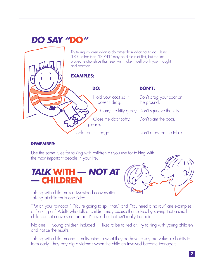# **DO SAY "DO"**

Try telling children what to do rather than what not to do. Using "DO" rather than "DON'T" may be difficult at first, but the improved relationships that result will make it well worth your thought and practice.

### **EXAMPLES:**

### **DON'T:**

Hold your coat so it Don't drag your coat on doesn't drag. The ground.

Carry the kitty gently. Don't squeeze the kitty.

Close the door softly, Don't slam the door.

Color on this page. Don't draw on the table.

### **REMEMBER:**

Use the same rules for talking with children as you use for talking with the most important people in your life.

please.

## **TALK WITH — NOT AT — CHILDREN**



Talking with children is a two-sided conversation. Talking at children is one-sided.

"Put on your raincoat," "You're going to spill that," and "You need a haircut" are examples of "talking at." Adults who talk at children may excuse themselves by saying that a small child cannot converse at an adult's level, but that isn't really the point.

No one — young children included — likes to be talked at. Try talking with young children and notice the results.

Talking with children and then listening to what they do have to say are valuable habits to form early. They pay big dividends when the children involved become teenagers.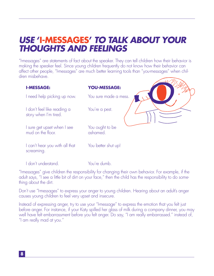### **USE 'I-MESSAGES' TO TALK ABOUT YOUR THOUGHTS AND FEELINGS**

"I-messages" are statements of fact about the speaker. They can tell children how their behavior is making the speaker feel. Since young children frequently do not know how their behavior can affect other people, "I-messages" are much better learning tools than "you-messages" when children misbehave. what

| <b>I-MESSAGE:</b>                                  | <b>YOU-MESSAGE:</b>         |
|----------------------------------------------------|-----------------------------|
| need help picking up now.                          | You sure made a mess.       |
| don't feel like reading a<br>story when I'm tired. | You're a pest.              |
| sure get upset when I see<br>mud on the floor.     | You ought to be<br>ashamed. |
| can't hear you with all that<br>screaming.         | You better shut up!         |
| don't understand                                   | You're dumb                 |

"I-messages" give children the responsibility for changing their own behavior. For example, if the adult says, "I see a little bit of dirt on your face," then the child has the responsibility to do something about the dirt.

Don't use "I-messages" to express your anger to young children. Hearing about an adult's anger causes young children to feel very upset and insecure.

Instead of expressing anger, try to use your "I-message" to express the emotion that you felt just before anger. For instance, if your Katy spilled her glass of milk during a company dinner, you may well have felt embarrassment before you felt anger. Do say, "I am really embarrassed." instead of, "I am really mad at you."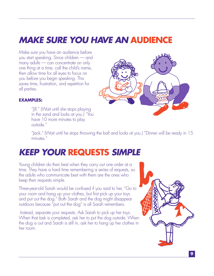# **MAKE SURE YOU HAVE AN AUDIENCE**

Make sure you have an audience before you start speaking. Since children — and many adults — can concentrate on only one thing at a time, call the child's name, then allow time for all eyes to focus on you before you begin speaking. This saves time, frustration, and repetition for all parties.



### **EXAMPLES:**

"Jill." (Wait until she stops playing in the sand and looks at you.) "You have 10 more minutes to play outside."

"Jack." (Wait until he stops throwing the ball and looks at you.) "Dinner will be ready in 15 minutes."

## **KEEP YOUR REQUESTS SIMPLE**

Young children do their best when they carry out one order at a time. They have a hard time remembering a series of requests, so the adults who communicate best with them are the ones who keep their requests simple.

Three-year-old Sarah would be confused if you said to her, "Go to your room and hang up your clothes, but first pick up your toys and put out the dog." Both Sarah and the dog might disappear outdoors because "put out the dog" is all Sarah remembers.

 Instead, separate your requests. Ask Sarah to pick up her toys. When that task is completed, ask her to put the dog outside. When the dog is out and Sarah is still in, ask her to hang up her clothes in her room.

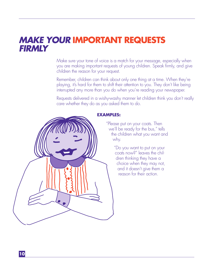### **MAKE YOUR IMPORTANT REQUESTS FIRMLY**

Make sure your tone of voice is a match for your message, especially when you are making important requests of young children. Speak firmly, and give children the reason for your request.

Remember, children can think about only one thing at a time. When they're playing, it's hard for them to shift their attention to you. They don't like being interrupted any more than you do when you're reading your newspaper.

Requests delivered in a wishy-washy manner let children think you don't really care whether they do as you asked them to do.



### **EXAMPLES:**

"Please put on your coats. Then we'll be ready for the bus," tells the children what you want and why.

> "Do you want to put on your coats now?" leaves the children thinking they have a choice when they may not, and it doesn't give them a reason for their action.

**10**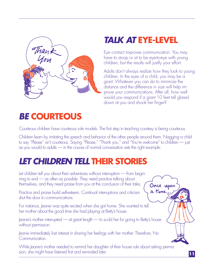

# **TALK AT EYE-LEVEL**

Eye contact improves communication. You may have to stoop or sit to be eye-to-eye with young children, but the results will justify your effort.

Adults don't always realize how they look to young children. In the eyes of a child, you may be a giant. Whatever you can do to minimize the distance and the difference in size will help improve your communications. After all, how well would you respond if a giant 10 feet tall glared down at you and shook her finger?

# **BE COURTEOUS**

Courteous children have courteous role models. The first step in teaching courtesy is being courteous.

Children learn by imitating the speech and behavior of the other people around them. Nagging a child to say "Please" isn't courteous. Saying "Please," "Thank you," and "You're welcome" to children — just as you would to adults — in the course of normal conversation sets the right example.

# **LET CHILDREN TELL THEIR STORIES**

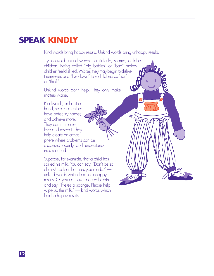### **SPEAK KINDLY**

Kind words bring happy results. Unkind words bring unhappy results.

Try to avoid unkind words that ridicule, shame, or label children. Being called "big babies" or "bad" makes children feel disliked. Worse, they may begin to dislike themselves and "live down" to such labels as "liar" OO or "thief."

Unkind words don't help. They only make matters worse.

Kind words, on the other hand, help children behave better, try harder, and achieve more. They communicate love and respect. They help create an atmosphere where problems can be discussed openly and understandings reached.

Suppose, for example, that a child has spilled his milk. You can say, "Don't be so clumsy! Look at the mess you made." unkind words which lead to unhappy results. Or you can take a deep breath and say, "Here's a sponge. Please help wipe up the milk." — kind words which lead to happy results.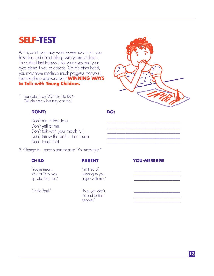# **SELF-TEST**

At this point, you may want to see how much you have learned about talking with young children. The self-test that follows is for your eyes and your eyes alone if you so choose. On the other hand, you may have made so much progress that you'll want to show everyone your **WINNING WAYS to Talk with Young Children.**

1. Translate these DON'Ts into DOs. (Tell children what they can do.)

### **DON'T:** DO:

Don't run in the store. Don't yell at me. Don't talk with your mouth full. Don't throw the ball in the house. Don't touch that.

2. Change the parents statements to "You-messages."

"You're mean. "I'm tired of \_\_\_\_\_\_\_\_\_\_\_\_\_\_\_\_\_\_\_\_\_\_\_\_ You let Terry stay listening to you \_\_\_\_\_\_\_\_\_\_\_\_\_\_\_\_\_\_\_\_\_\_\_\_

argue with me."

"I hate Paul." That is not work when the Paul." It's bad to hate people."

#### **CHILD PARENT YOU-MESSAGE**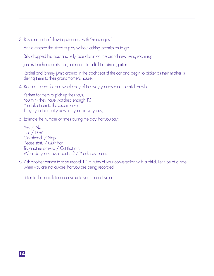3. Respond to the following situations with "I-messages."

Annie crossed the street to play without asking permission to go.

Billy dropped his toast and jelly face down on the brand new living room rug.

Janie's teacher reports that Janie got into a fight at kindergarten.

Rachel and Johnny jump around in the back seat of the car and begin to bicker as their mother is driving them to their grandmother's house.

4. Keep a record for one whole day of the way you respond to children when:

It's time for them to pick up their toys. You think they have watched enough TV. You take them to the supermarket. They try to interrupt you when you are very busy.

5. Estimate the number of times during the day that you say:

Yes. / No. Do. / Don't. Go ahead. / Stop. Please start. / Quit that. Try another activity. / Cut that out. What do you know about ...? / You know better.

6. Ask another person to tape record 10 minutes of your conversation with a child. Let it be at a time when you are not aware that you are being recorded.

Listen to the tape later and evaluate your tone of voice.

**14**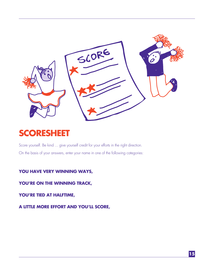

## **SCORESHEET**

Score yourself. Be kind ... give yourself credit for your efforts in the right direction. On the basis of your answers, enter your name in one of the following categories:

### **YOU HAVE VERY WINNING WAYS,**

**YOU'RE ON THE WINNING TRACK,**

### **YOU'RE TIED AT HALFTIME,**

**A LITTLE MORE EFFORT AND YOU'LL SCORE,**